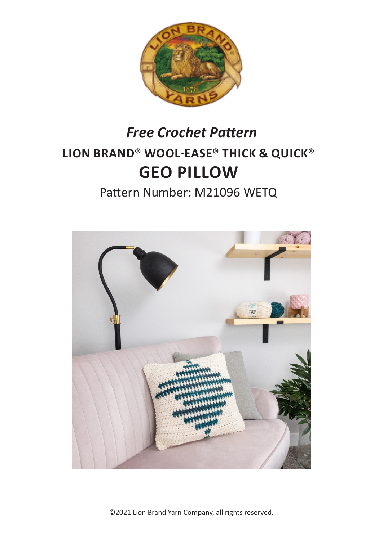

# **LION BRAND® WOOL-EASE® THICK & QUICK® GEO PILLOW** *Free Crochet Pattern*

Pattern Number: M21096 WETQ



©2021 Lion Brand Yarn Company, all rights reserved.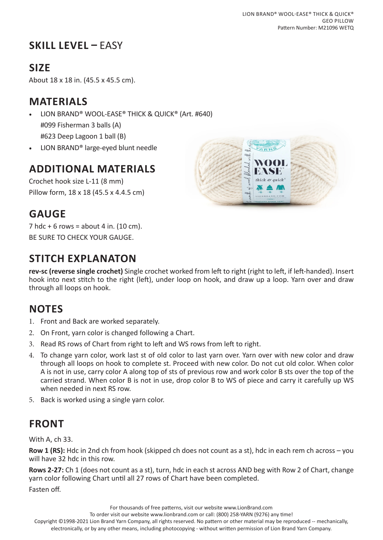# **SKILL LEVEL –** EASY

# **SIZE**

About 18 x 18 in. (45.5 x 45.5 cm).

#### **MATERIALS**

• LION BRAND® WOOL-EASE® THICK & QUICK® (Art. #640) #099 Fisherman 3 balls (A) #623 Deep Lagoon 1 ball (B)

• LION BRAND® large-eyed blunt needle

## **ADDITIONAL MATERIALS**

Crochet hook size L-11 (8 mm) Pillow form, 18 x 18 (45.5 x 4.4.5 cm)

#### **GAUGE**

7 hdc + 6 rows = about 4 in.  $(10 \text{ cm})$ . BE SURE TO CHECK YOUR GAUGE.

#### **STITCH EXPLANATON**

**rev-sc (reverse single crochet)** Single crochet worked from left to right (right to left, if left-handed). Insert hook into next stitch to the right (left), under loop on hook, and draw up a loop. Yarn over and draw through all loops on hook.

#### **NOTES**

- 1. Front and Back are worked separately.
- 2. On Front, yarn color is changed following a Chart.
- 3. Read RS rows of Chart from right to left and WS rows from left to right.
- 4. To change yarn color, work last st of old color to last yarn over. Yarn over with new color and draw through all loops on hook to complete st. Proceed with new color. Do not cut old color. When color A is not in use, carry color A along top of sts of previous row and work color B sts over the top of the carried strand. When color B is not in use, drop color B to WS of piece and carry it carefully up WS when needed in next RS row.
- 5. Back is worked using a single yarn color.

# **FRONT**

With A, ch 33.

**Row 1 (RS):** Hdc in 2nd ch from hook (skipped ch does not count as a st), hdc in each rem ch across – you will have 32 hdc in this row.

**Rows 2-27:** Ch 1 (does not count as a st), turn, hdc in each st across AND beg with Row 2 of Chart, change yarn color following Chart until all 27 rows of Chart have been completed.

Fasten off.

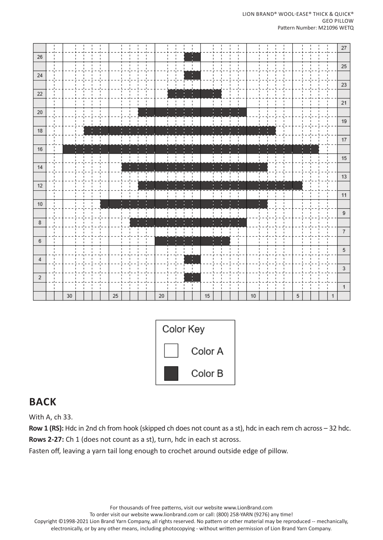#### LION BRAND® WOOL-EASE® THICK & QUICK® GEO PILLOW Pattern Number: M21096 WETQ

| 14         |                                |        |   |   |    |         |   |                |                                |        |              |                              |                                |                                |    |                    |                    |                              |                             |      |                             |                              |                                |                             |   |                |              |                        |              |                |
|------------|--------------------------------|--------|---|---|----|---------|---|----------------|--------------------------------|--------|--------------|------------------------------|--------------------------------|--------------------------------|----|--------------------|--------------------|------------------------------|-----------------------------|------|-----------------------------|------------------------------|--------------------------------|-----------------------------|---|----------------|--------------|------------------------|--------------|----------------|
|            |                                |        |   |   |    |         |   |                |                                |        |              |                              |                                |                                |    |                    |                    |                              |                             |      |                             |                              |                                |                             |   |                |              |                        |              | 13             |
| 12         | -1-                            |        |   |   |    |         |   |                |                                |        |              |                              |                                |                                |    |                    |                    |                              |                             |      |                             |                              |                                |                             |   |                |              |                        |              |                |
|            | $\blacksquare$<br>$\mathbf{I}$ |        |   |   |    | ٠<br>٠  | п | $\blacksquare$ | $\mathbf{I}$<br>$\blacksquare$ |        | $\mathbf{I}$ | $\mathbf{I}$<br>L.           | $\mathbf{I}$<br>$\blacksquare$ | $\blacksquare$<br>$\mathbf{I}$ |    | $\mathbf{I}$<br>L. | $\mathbf{I}$<br>J. | $\mathbf{I}$<br>$\mathbf{I}$ | $\mathbf I$<br>$\mathbf{I}$ |      | $\mathbf I$<br>$\mathbf{I}$ | $\mathbf{I}$<br>$\mathbf{I}$ | $\blacksquare$<br>$\mathbf{I}$ | $\mathbf I$<br>$\mathbf{I}$ |   | $\blacksquare$ | $\mathbf{I}$ |                        |              | $11$           |
| $10\,$     | $\mathbf{I}$<br>$\blacksquare$ |        |   |   |    |         |   |                |                                |        |              |                              |                                |                                |    |                    |                    |                              |                             |      |                             |                              |                                |                             |   |                |              |                        | $\mathbf{I}$ |                |
|            | $\blacksquare$<br>٠            |        |   |   |    |         |   |                |                                |        |              |                              |                                |                                |    |                    |                    |                              |                             |      |                             |                              |                                |                             |   |                |              |                        |              | $9\,$          |
| 8          |                                |        |   |   |    |         |   |                |                                |        |              |                              |                                |                                |    |                    |                    |                              |                             |      |                             |                              |                                |                             |   |                |              |                        |              |                |
|            | $\mathbf{I}$                   |        |   |   |    |         |   |                | $\mathbf{I}$                   |        | $\mathbf{I}$ | ٠                            | J.                             | $\mathbf{I}$                   |    | п                  | ٠<br>J.            | ٠                            | ٠<br>$\mathbf{I}$           |      |                             |                              |                                |                             |   |                |              |                        | ٠            | $\overline{7}$ |
| 6          | $\mathbf{I}$<br>$\mathbf{I}$   |        |   |   |    |         |   |                |                                |        |              |                              |                                |                                |    |                    |                    |                              | ٠<br>I.                     |      |                             |                              |                                |                             |   |                |              |                        |              |                |
|            | $\mathbf{I}$<br>$\mathbf{I}$   |        |   |   |    |         |   |                |                                |        |              | $\blacksquare$               | $\blacksquare$                 |                                |    |                    |                    |                              | I.                          |      |                             |                              |                                |                             |   |                |              |                        | ٠            | 5              |
| $\sqrt{4}$ |                                |        |   |   |    |         |   |                |                                |        |              |                              |                                |                                |    |                    |                    |                              |                             |      |                             |                              |                                |                             |   |                |              |                        |              |                |
|            |                                |        |   |   |    |         |   |                |                                |        |              |                              |                                |                                |    |                    |                    |                              |                             |      |                             |                              |                                |                             |   |                |              |                        |              | 3              |
| $\sqrt{2}$ | $\mathbf{I}$                   |        |   |   |    |         |   |                |                                |        |              |                              |                                |                                |    |                    |                    |                              |                             |      |                             |                              |                                |                             |   |                |              |                        | $\mathbf{I}$ |                |
|            | $\mathbf{I}$<br>$\mathbf{I}$   |        | ٠ | ٠ |    | ٠<br>L. |   | п.             | ٠<br>п                         |        |              | $\mathbf{I}$<br>$\mathbf{I}$ | $\mathbf{I}$<br>$\mathbf I$    | $\mathbf{L}$<br>$\mathbf{I}$   |    |                    |                    |                              | ٠<br>٠                      |      |                             |                              | п                              | ٠<br>п                      |   |                | ٠            | ٠<br>$\mathbf{I}$<br>٠ | л.           | $\mathbf{1}$   |
|            |                                | $30\,$ |   |   | 25 |         |   |                |                                | $20\,$ |              |                              |                                |                                | 15 |                    |                    |                              |                             | $10$ |                             |                              |                                |                             | 5 |                |              |                        | $\mathbf{1}$ |                |



#### **BACK**

With A, ch 33.

**Row 1 (RS):** Hdc in 2nd ch from hook (skipped ch does not count as a st), hdc in each rem ch across – 32 hdc. **Rows 2-27:** Ch 1 (does not count as a st), turn, hdc in each st across.

Fasten off, leaving a yarn tail long enough to crochet around outside edge of pillow.

For thousands of free patterns, visit our website www.LionBrand.com

To order visit our website www.lionbrand.com or call: (800) 258-YARN (9276) any time!

Copyright ©1998-2021 Lion Brand Yarn Company, all rights reserved. No pattern or other material may be reproduced -- mechanically,

electronically, or by any other means, including photocopying - without written permission of Lion Brand Yarn Company.